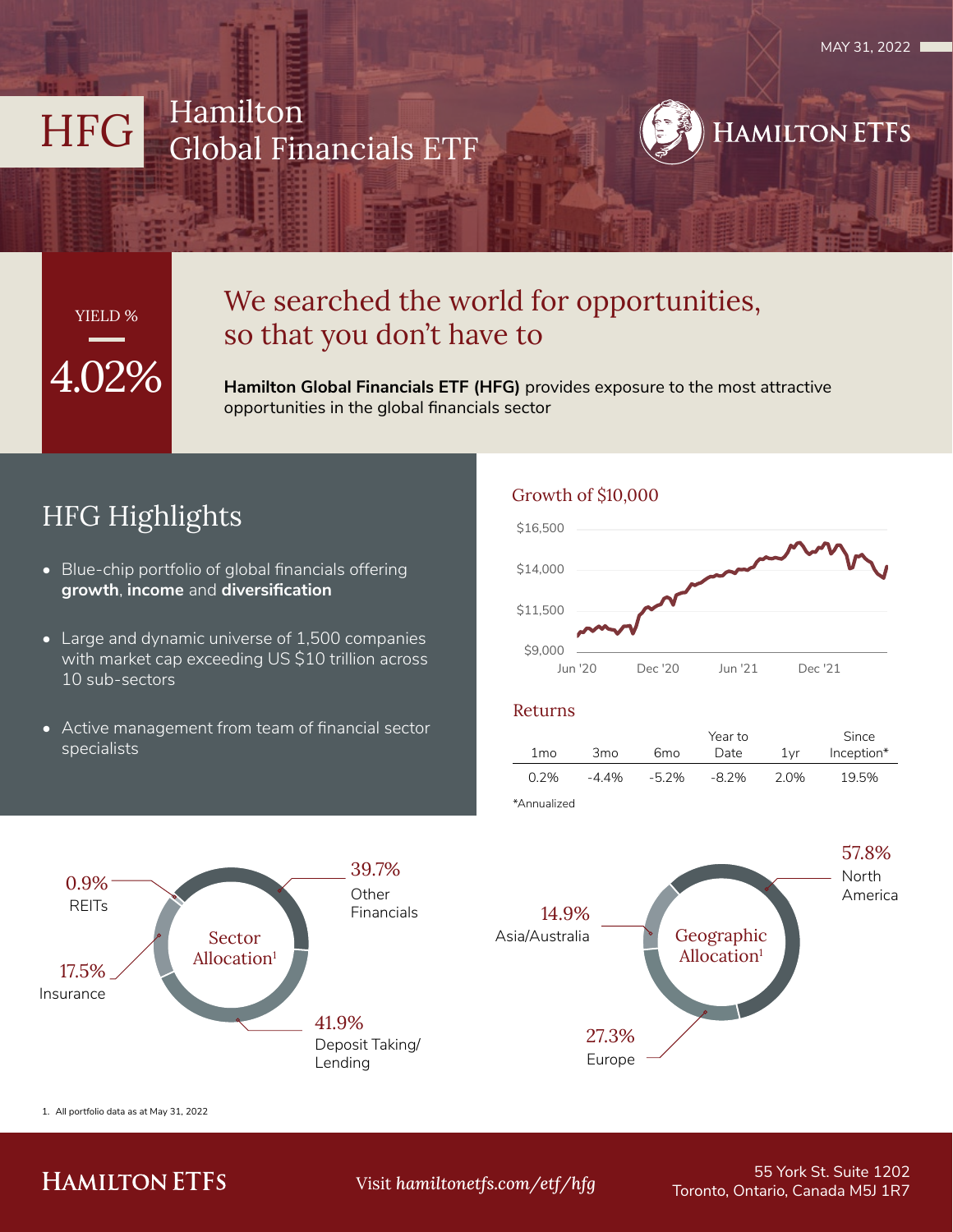# HFG Hamilton Global Financials ETF



# 4.02% YIELD %

## We searched the world for opportunities, so that you don't have to

**Hamilton Global Financials ETF (HFG)** provides exposure to the most attractive opportunities in the global financials sector

# HFG Highlights

- Blue-chip portfolio of global financials offering **growth**, **income** and **diversification**
- Large and dynamic universe of 1,500 companies with market cap exceeding US \$10 trillion across 10 sub-sectors
- Active management from team of financial sector specialists

Sector Allocation<sup>1</sup>

#### Growth of \$10,000



#### Returns

|                 |                 |          | Year to  |     | Since      |
|-----------------|-----------------|----------|----------|-----|------------|
| 1 <sub>mo</sub> | 3 <sub>mo</sub> | 6mo      | Date     | 1vr | Inception* |
| 0.2%            | -4.4%           | $-5.2\%$ | $-8.2\%$ | 20% | 19.5%      |
| *∆nnualized     |                 |          |          |     |            |



1. All portfolio data as at May 31, 2022

Insurance

17.5%

REITs  $0.9\%$ 

### **HAMILTON ETFS**

**Other** Financials

39.7%

Deposit Taking/

Lending

41.9%

55 York St. Suite 1202 Toronto, Ontario, Canada M5J 1R7 Visit *hamiltonetfs.com/etf/hfg*